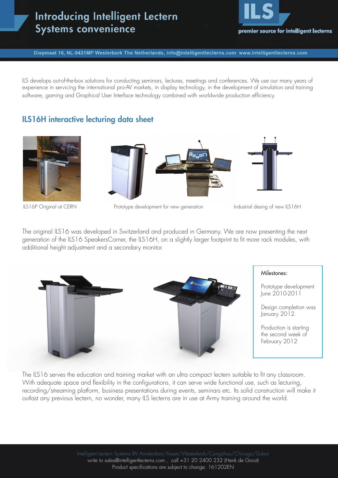# **Introducing Intelligent Lectern Systems convenience**



Diepmaat 16, NL-9431MP Westerbork The Netherlands, info@intelligentlecterns.com www.intelligentlecterns.com

ILS develops out-of-the-box solutions for conducting seminars, lectures, meetings and conferences. We use our many years of experience in servicing the international pro-AV markets, in display technology, in the development of simulation and training software, gaming and Graphical User Interface technology combined with worldwide production efficiency.

## ILS16H interactive lecturing data sheet







ILS16P Original at CERN Prototype development for new generation Industrial desing of new ILS16H

The original ILS16 was developed in Switzerland and produced in Germany. We are now presenting the next generation of the ILS16 SpeakersCorner, the ILS16H, on a slightly larger footprint to fit more rack modules, with additional height adjustment and a secondary monitor.



The ILS16 serves the education and training market with an ultra compact lectern suitable to fit any classroom. With adequate space and flexibility in the configurations, it can serve wide functional use, such as lecturing, recording/streaming platform, business presentations during events, seminars etc. Its solid construction will make it outlast any previous lectern, no wonder, many ILS lecterns are in use at Army training around the world.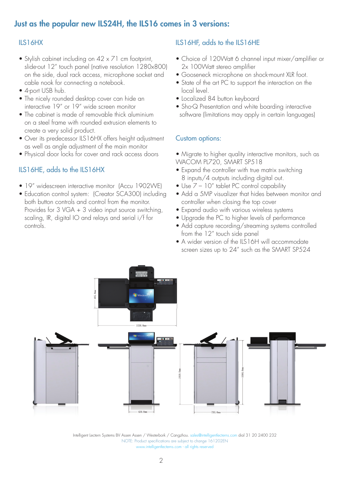## Just as the popular new ILS24H, the ILS16 comes in 3 versions:

## ILS16HX

- Stylish cabinet including on 42 x 71 cm footprint, slide-out 12" touch panel (native resolution 1280x800) on the side, dual rack access, microphone socket and cable nook for connecting a notebook.
- 4-port USB hub.
- The nicely rounded desktop cover can hide an interactive 19" or 19" wide screen monitor
- The cabinet is made of removable thick aluminium on a steel frame with rounded extrusion elements to create a very solid product.
- Over its predecessor ILS16HX offers height adjustment as well as angle adjustment of the main monitor
- Physical door locks for cover and rack access doors

## ILS16HE, adds to the ILS16HX

- 19" widescreen interactive monitor (Accu 1902WE)
- Education control system: (Creator SCA300) including both button controls and control from the monitor. Provides for 3 VGA + 3 video input source switching, scaling, IR, digital IO and relays and serial i/f for controls.

## ILS16HF, adds to the ILS16HE

- Choice of 120Watt 6 channel input mixer/amplifier or 2x 100Watt stereo amplifier
- Gooseneck microphone on shock-mount XLR foot.
- State of the art PC to support the interaction on the local level.
- Localized 84 button keyboard
- Sho-Q Presentation and white boarding interactive software (limitations may apply in certain languages)

## Custom options:

- Migrate to higher quality interactive monitors, such as WACOM PL720, SMART SP518
- Expand the controller with true matrix switching 8 inputs/4 outputs including digital out.
- Use  $7 10$ " tablet PC control capability
- Add a 5MP visualizer that hides between monitor and controller when closing the top cover
- Expand audio with various wireless systems
- Upgrade the PC to higher levels of performance
- Add capture recording/streaming systems controlled from the 12" touch side panel
- A wider version of the ILS16H will accommodate screen sizes up to 24" such as the SMART SP524



Intelligent Lectern Systems BV Assen Assen / Westerbork / Cangzhou. sales@intelligentlecterns.com dial 31 20 2400 232 NOTE: Product specifications are subject to change 161202EN www.intelligentlecterns.com - all rights reserved